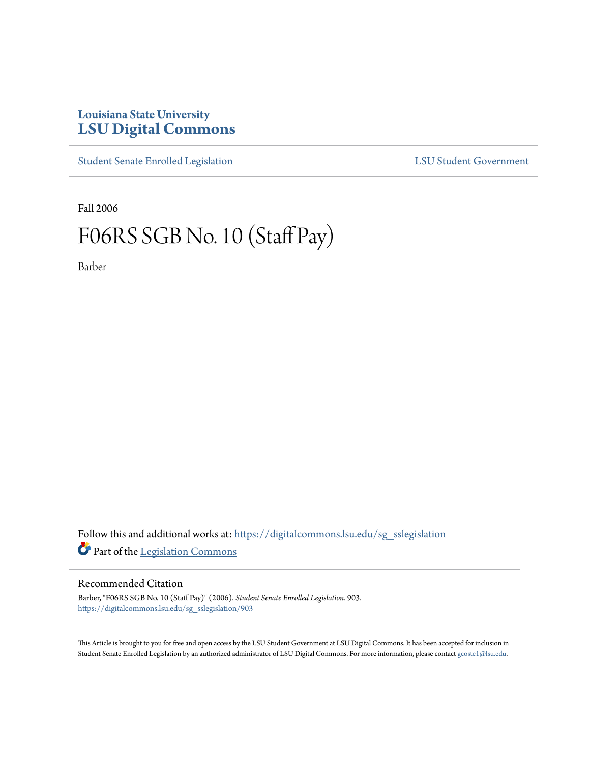## **Louisiana State University [LSU Digital Commons](https://digitalcommons.lsu.edu?utm_source=digitalcommons.lsu.edu%2Fsg_sslegislation%2F903&utm_medium=PDF&utm_campaign=PDFCoverPages)**

[Student Senate Enrolled Legislation](https://digitalcommons.lsu.edu/sg_sslegislation?utm_source=digitalcommons.lsu.edu%2Fsg_sslegislation%2F903&utm_medium=PDF&utm_campaign=PDFCoverPages) [LSU Student Government](https://digitalcommons.lsu.edu/sg?utm_source=digitalcommons.lsu.edu%2Fsg_sslegislation%2F903&utm_medium=PDF&utm_campaign=PDFCoverPages)

Fall 2006

## F06RS SGB No. 10 (Staff Pay)

Barber

Follow this and additional works at: [https://digitalcommons.lsu.edu/sg\\_sslegislation](https://digitalcommons.lsu.edu/sg_sslegislation?utm_source=digitalcommons.lsu.edu%2Fsg_sslegislation%2F903&utm_medium=PDF&utm_campaign=PDFCoverPages) Part of the [Legislation Commons](http://network.bepress.com/hgg/discipline/859?utm_source=digitalcommons.lsu.edu%2Fsg_sslegislation%2F903&utm_medium=PDF&utm_campaign=PDFCoverPages)

## Recommended Citation

Barber, "F06RS SGB No. 10 (Staff Pay)" (2006). *Student Senate Enrolled Legislation*. 903. [https://digitalcommons.lsu.edu/sg\\_sslegislation/903](https://digitalcommons.lsu.edu/sg_sslegislation/903?utm_source=digitalcommons.lsu.edu%2Fsg_sslegislation%2F903&utm_medium=PDF&utm_campaign=PDFCoverPages)

This Article is brought to you for free and open access by the LSU Student Government at LSU Digital Commons. It has been accepted for inclusion in Student Senate Enrolled Legislation by an authorized administrator of LSU Digital Commons. For more information, please contact [gcoste1@lsu.edu.](mailto:gcoste1@lsu.edu)